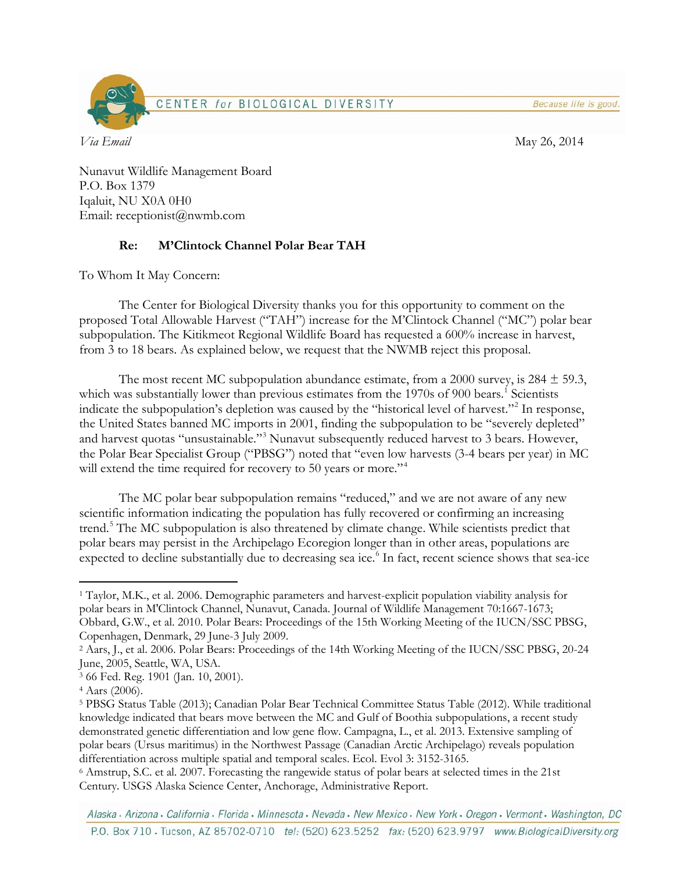Because life is good.



*Via Email* May 26, 2014

Nunavut Wildlife Management Board P.O. Box 1379 Iqaluit, NU X0A 0H0 Email: receptionist@nwmb.com

## **Re: M'Clintock Channel Polar Bear TAH**

To Whom It May Concern:

The Center for Biological Diversity thanks you for this opportunity to comment on the proposed Total Allowable Harvest ("TAH") increase for the M'Clintock Channel ("MC") polar bear subpopulation. The Kitikmeot Regional Wildlife Board has requested a 600% increase in harvest, from 3 to 18 bears. As explained below, we request that the NWMB reject this proposal.

The most recent MC subpopulation abundance estimate, from a 2000 survey, is 284  $\pm$  59.3, which was substantially lower than previous estimates from the [1](#page-0-0)970s of 900 bears.<sup>1</sup> Scientists indicate the subpopulation's depletion was caused by the "historical level of harvest."<sup>[2](#page-0-1)</sup> In response, the United States banned MC imports in 2001, finding the subpopulation to be "severely depleted" and harvest quotas "unsustainable."<sup>[3](#page-0-2)</sup> Nunavut subsequently reduced harvest to 3 bears. However, the Polar Bear Specialist Group ("PBSG") noted that "even low harvests (3-4 bears per year) in MC will extend the time required for recovery to 50 years or more."<sup>[4](#page-0-3)</sup>

The MC polar bear subpopulation remains "reduced," and we are not aware of any new scientific information indicating the population has fully recovered or confirming an increasing trend. [5](#page-0-4) The MC subpopulation is also threatened by climate change. While scientists predict that polar bears may persist in the Archipelago Ecoregion longer than in other areas, populations are expected to decline substantially due to decreasing sea ice.<sup>[6](#page-0-5)</sup> In fact, recent science shows that sea-ice

<span id="page-0-0"></span> $\overline{a}$ <sup>1</sup> Taylor, M.K., et al. 2006. Demographic parameters and harvest-explicit population viability analysis for polar bears in M'Clintock Channel, Nunavut, Canada. Journal of Wildlife Management 70:1667-1673; Obbard, G.W., et al. 2010. Polar Bears: Proceedings of the 15th Working Meeting of the IUCN/SSC PBSG, Copenhagen, Denmark, 29 June-3 July 2009.

<span id="page-0-1"></span><sup>2</sup> Aars, J., et al. 2006. Polar Bears: Proceedings of the 14th Working Meeting of the IUCN/SSC PBSG, 20-24 June, 2005, Seattle, WA, USA.

<span id="page-0-2"></span><sup>3</sup> 66 Fed. Reg. 1901 (Jan. 10, 2001).

<span id="page-0-3"></span><sup>4</sup> Aars (2006).

<span id="page-0-4"></span><sup>5</sup> PBSG Status Table (2013); Canadian Polar Bear Technical Committee Status Table (2012). While traditional knowledge indicated that bears move between the MC and Gulf of Boothia subpopulations, a recent study demonstrated genetic differentiation and low gene flow. Campagna, L., et al. 2013. Extensive sampling of polar bears (Ursus maritimus) in the Northwest Passage (Canadian Arctic Archipelago) reveals population differentiation across multiple spatial and temporal scales. Ecol. Evol 3: 3152-3165.

<span id="page-0-5"></span><sup>6</sup> Amstrup, S.C. et al. 2007. Forecasting the rangewide status of polar bears at selected times in the 21st Century. USGS Alaska Science Center, Anchorage, Administrative Report.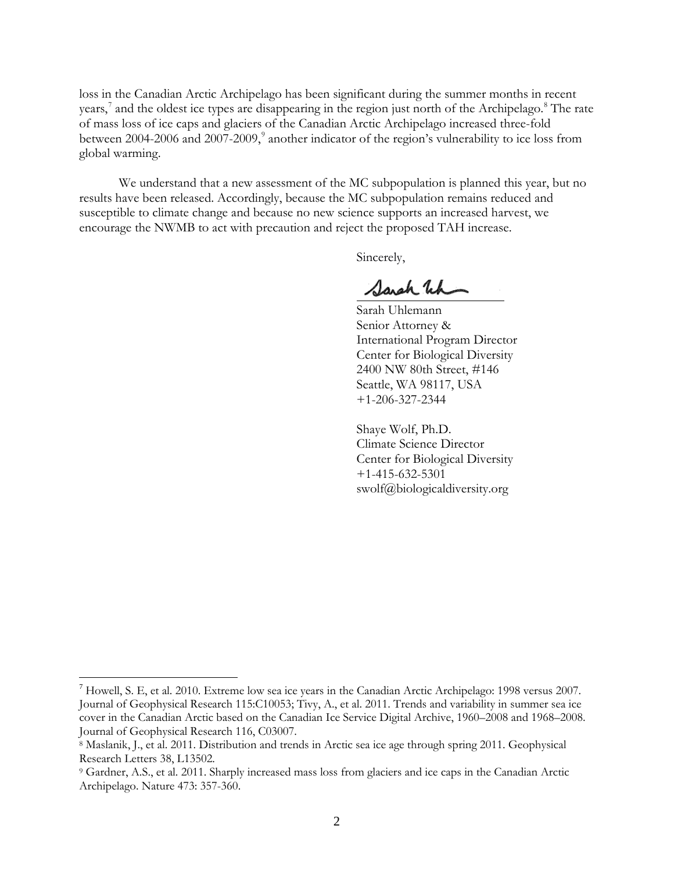loss in the Canadian Arctic Archipelago has been significant during the summer months in recent years,<sup>[7](#page-1-0)</sup> and the oldest ice types are disappearing in the region just north of the Archipelago.<sup>[8](#page-1-1)</sup> The rate of mass loss of ice caps and glaciers of the Canadian Arctic Archipelago increased three-fold between 2004-2006 and 2007-200[9](#page-1-2),<sup>9</sup> another indicator of the region's vulnerability to ice loss from global warming.

We understand that a new assessment of the MC subpopulation is planned this year, but no results have been released. Accordingly, because the MC subpopulation remains reduced and susceptible to climate change and because no new science supports an increased harvest, we encourage the NWMB to act with precaution and reject the proposed TAH increase.

Sincerely,

Sarch Wh

Sarah Uhlemann Senior Attorney & International Program Director Center for Biological Diversity 2400 NW 80th Street, #146 Seattle, WA 98117, USA +1-206-327-2344

Shaye Wolf, Ph.D. Climate Science Director Center for Biological Diversity +1-415-632-5301 [swolf@biologicaldiversity.org](mailto:swolf@biologicaldiversity.org)

<span id="page-1-0"></span> $^7$  Howell, S. E, et al. 2010. Extreme low sea ice years in the Canadian Arctic Archipelago: 1998 versus 2007. Journal of Geophysical Research 115:C10053; Tivy, A., et al. 2011. Trends and variability in summer sea ice cover in the Canadian Arctic based on the Canadian Ice Service Digital Archive, 1960–2008 and 1968–2008. Journal of Geophysical Research 116, C03007.

<span id="page-1-1"></span><sup>8</sup> Maslanik, J., et al. 2011. Distribution and trends in Arctic sea ice age through spring 2011. Geophysical Research Letters 38, L13502.

<span id="page-1-2"></span><sup>9</sup> Gardner, A.S., et al. 2011. Sharply increased mass loss from glaciers and ice caps in the Canadian Arctic Archipelago. Nature 473: 357-360.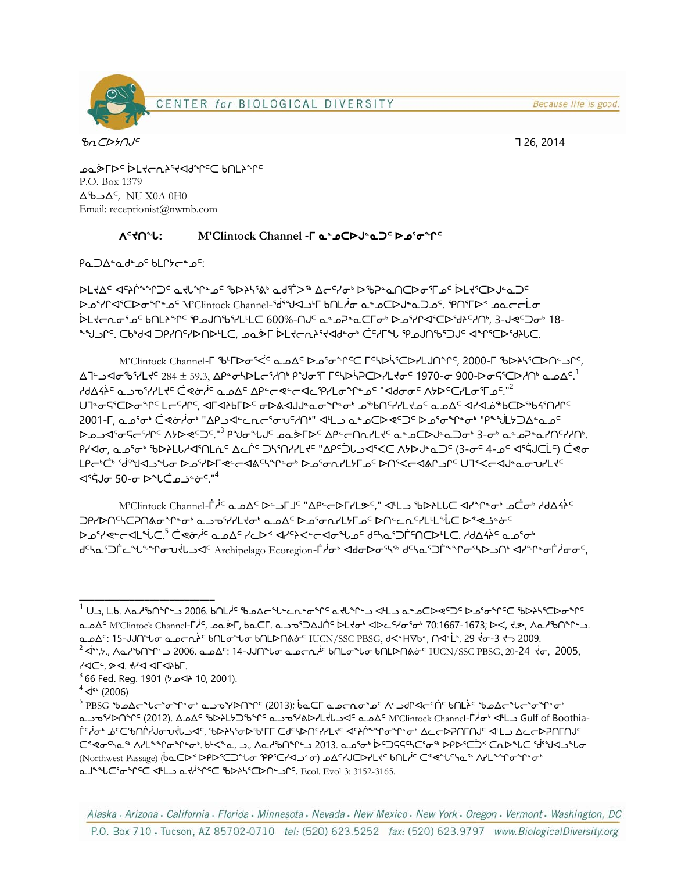Because life is good.



 $\mu$   $\sigma$   $\sim$  2014

− PUF>∼i> ראב in נארץ כי אייר P.O. Box 1379  $\Delta$ ى $\Delta$ <sup>c</sup>, NU X0A 0H0 Email: receptionist@nwmb.com

## **ᐱᑦᔪᑎᖓ: M'Clintock Channel -ᒥ ᓇᓐᓄᑕᐅᒍᓐᓇᑐᑦ ᐅᓄᕐᓂᖏᑦ**

Pa ⊃∧≞o de o<sup>⊂</sup> bl Chee o<sup>⊂.</sup>

ᐅᒪᔪᐃᑦ ᐊᑦᔨᒌᖕᖏᑐᑦ ᓇᔪᒐᖏᓐᓄᑦ ᖃᐅᔨᓴᕐᕕᒃ ᓇᑯᕐᒦᐳᖅ ᐃᓕᑦᓯᓂᒃ ᐅᖃᕈᓐᓇᑎᑕᐅᓂᕐᒥᓄᑦ ᐆᒪᔪᕐᑕᐅᒍᓐᓇᑐᑦ ᐅᓄᕐᓯᒋᐊᕐᑕᐅᓂᖏᓐᓄᑦ M'Clintock Channel-ᖂᕐᖑᐊᓗᒻᒥ ᑲᑎᒪᓲᓂ ᓇᓐᓄᑕᐅᒍᓐᓇᑐᓄᑦ. ᕿᑎᕐᒥᐅᑉ ᓄᓇᓕᓕᒫᓂ ᐆᒪᔪᓕᕆᓂᕐᓄᑦ ᑲᑎᒪᔨᖏᑦ ᕿᓄᒍᑎᖃᕐᓯᒪᒻᒪᑕ 600%-ᑎᒍᑦ ᓇᓐᓄᕈᓐᓇᑕᒥᓂᒃ ᐅᓄᕐᓯᒋᐊᕐᑕᐅᖁᔨᑦᓱᑎᒃ, 3-ᒍᕙᑦᑐᓂᒃ 18- ᖕᖑᓗᒋᑦ. ᑕᑲᒃᑯᐊ ᑐᑭᓯᑎᑦᓯᐅᑎᐅᒻᒪᑕ, ᓄᓇᕘᒥ ᐆᒪᔪᓕᕆᔨᕐᔪᐊᑯᓐᓂᒃ ᑖᑦᓱᒥᖓ ᕿᓄᒍᑎᖃᕐᑐᒍᑦ ᐊᖏᕐᑕᐅᖁᔨᒐᑕ.

M'Clintock Channel-ᒥ ᖃᒻᒥᐅᓂᕐᐹᑦ ᓇᓄᐃᑦ ᐅᓄᕐᓂᖏᑦᑕ ᒥᑦᓴᐅᓵᕐᑕᐅᓯᒪᒍᑎᖏᑦ, 2000-ᒥ ᖃᐅᔨᓴᕐᑕᐅᑎᓪᓗᒋᑦ, ∆كف ⊲َФקייר 1970 − 400 דישלס־1970 דישלס־1970.3, AP® לאביל 1970- 1970-G בילואליס 1970-G בילואל ظطظنة صـحة الإلام حـرض أنّ طـمـطـة الإصابة التي تحالي المعامرة الأصور A/N- المعامرة "خالصة" كما التي ت ᑌᒣᓐᓂᕋᕐᑕᐅᓂᖏᑦ ᒪᓕᑦᓱᒋᑦ, ᐊᒥᐊᔨᑲᒥᐅᑦ ᓂᐅᕕᐊᒍᒍᓐᓇᓂᖏᓐᓂᒃ ᓄᖅᑲᑎᑦᓯᓯᒪᔪᓄᑦ ᓇᓄᐃᑦ ᐊᓯᐊᓅᖅᑲᑕᐅᖅᑲᔦᕐᑎᓱᒋᑦ 2001-୮, صدرة توضيف "AC الأصبح - صدر المراكان" طلب صدر الكرم - المراكب المراكب "AC الأصبح المراكب الم ᐅᓄᓗᐊᕐᓂᕋᓕᕐᓱᒋᑦ ᐱᔭᐅᕙᑦᑐᑦ."<sup>3</sup> ᑭᖑᓂᖓᒍᑦ ᓄᓇᕘᒥᐅᑦ ᐃᑭᓪᓕᑎᕆᓯᒪᔪᑦ ᓇᓐᓄᑕᐅᒍᓐᓇᑐᓂᒃ 3-ᓂᒃ ᓇᓐᓄᕈᓐᓇᓯᑎᑦᓯᓱᑎᒃ. ᑭᓯᐊᓂ, ᓇᓄᕐᓂᒃ ᖃᐅᔨᒪᒐᓱᐊᕐᑎᒪᕇᑦ ᐃᓚᒌᑦ ᑐᓴᕐᑎᓯᓯᒪᔪᑦ "ᐃᑭᑦᑑᒐᓗᐊᕐᐸᑕ ᐱᔭᐅᒍᓐᓇᑐᑦ (3-ᓂᑦ 4-ᓄᑦ ᐊᕐᕌᒍᑕᒫᑦ) ᑖᕙᓂ لوك"خ 'ظامي المسابح المسابح المسابح المسابح المسابح المسابح المسابح المسابح المسابح المسابح المسابح ا  $\blacktriangle$ ς στρ -σ Φειζω εταινή

M'Clintock Channel-Γ<sup>ic</sup> هـهΔ <sup>د ــ</sup> احـاح "ΔP- الـــاح الحاجر الخاصة الحاجر المحامرة المحافظة الحامرة الحامرة ا ⊃٩/ܐܘܪܠܒܐ ܐܪܐ ܐܪܐ ܐܘܪܡܢܐ ܐܕܪܡܢܐ ܐܕܘܪܡܝܐ ډܘܪܡܝܐ ډܘܪܒܝܐ ډܘܪܒܝܐ ډܘܪܒܝܐ ډܘܪܒܝܐ ډܘܪܒܝܐ ܐܘ<sup>ء</sup> ٩ و-د حالـ من ٦.5 ضعة بأحـ مـه∆د ٢-٧-٧ حامـر- حاصـ ٣-٧-٥ و-٢-٥ مـ٥ تـ٥٢ مـ٥ و-٢-٧ مـ٥ و-٢ ᑯᑦᓴᓇᕐᑐᒦᓚᖓᖕᖏᓂᕃᔫᒐᓗᐊᑦ Archipelago Ecoregion-ᒦᓲᓂᒃ ᐊᑯᓂᐅᓂᕐᓴᖅ ᑯᑦᓴᓇᕐᑐᒦᖕᖏᓂᕐᓴᐅᓗᑎᒃ ᐊᓯᖏᓐᓂᒦᓲᓂᓂᑦ,

\_\_\_\_\_\_\_\_\_\_\_\_\_\_\_\_\_\_\_\_\_\_\_\_\_\_\_

<sup>&</sup>lt;sup>1</sup> Uد, L.b. ∧ططق کا۲۴۰ نو 2006. ظاہر تو میں دیا ہے کہ مشترک خاطر اڑا نے مشار کے خاطر کی تھے کہ تکام کر ت مِدَ M'Clintock Channel-Ë i C, هو T, طور Clintock Channel-Ë i Ć, هو T, طور Clintock Channel-Ë i Ć, هو حرب طور ᓇᓄᐃᑦ: 15-ᒍᒍᑎᖓᓂ ᓇᓄᓕᕆᔩᑦ ᑲᑎᒪᓂᖓᓂ ᑲᑎᒪᐅᑎᕕᓃᑦ IUCN/SSC PBSG, ᑯᐸᓐHᐁᑲᓐ, ᑎᐊᓐᒫᒃ, 29 ᔫᓂ-3 ᔪᓓ 2009.  $^2$ Is\, ∧َأ $\Delta$ لام م $\Delta$ º $\Delta$ ( 2006. ط $\Delta$ ה 14- $\Delta$ لام ما $\Delta$ ه ط $\Delta$ ر ا $\Delta$ ن وا $\Delta$ ᓯᐊᑕᓪ, ᕗᐊ. ᔪᓯᐊ ᐊᒥᐊᔨᑲᒥ.

<sup>3 66</sup> Fed. Reg. 1901 (ᔭᓄᐊᔨ 10, 2001).

 $4$   $\dot{q}$ <sup>4</sup> $\langle$  (2006)

<sup>5</sup> PBSG ᖃᓄᐃᓕᖓᓕᕐᓂᖏᓐᓂᒃ ᓇᓗᓀᕐᓯᐅᑎᖏᑦ (2013); ᑳᓇᑕᒥ ᓇᓄᓕᕆᓂᕐᓄᑦ ᐱᓪᓗᑯᒋᐊᓕᑦᑏᑦ ᑲᑎᒪᔩᑦ ᖃᓄᐃᓕᖓᓕᕐᓂᖏᓐᓂᒃ حمضة الككهلك الكاركة الكلماء التي تصدر الكاركة التي تصدر الكاركة التي ان التي ان التي حكمت التي Gulf of Boothia †‹ۈن• ھ⊂\$∩أبار סילה A>{\end=yst=cd=yst=cd=yst=cd=yst=cd=yst=cd=yst=cd=yst=cd=yst=cd=yst=cd=yst=cd=yst=cd= ᑕᕝᕙᓂᑦᓭᓇᖅ ᐱᓯᒪᖕᖏᓂᖏᓐᓂᒃ. ᑲᒻᐸᖕᓇ, ᓗ., ᐱᓇᓱᖃᑎᖏᓪᓗ 2013. ᓇᓄᕐᓂᒃ ᐆᑦᑐᕋᕋᑦᓴᑕᕐᓂᖅ ᐅᑭᐅᕐᑕᑑᑉ ᑕᕆᐅᖓᑕ ᖂᕐᖑᐊᓗᖓᓂ (Northwest Passage) (baCD<DPDSCD "Lo "PPSC+4" and CF-1CD-/L+" bnLi C << "L" A-L" "C +"C +"C +"C +"C ᓇᒧᖕᖓᑕᕐᓂᖏᑦᑕ ᐊᒻᒪᓗ ᓇᔪᓲᖏᑦᑕ ᖃᐅᔨᓴᕐᑕᐅᑎᓪᓗᒋᑦ. Ecol. Evol 3: 3152-3165.